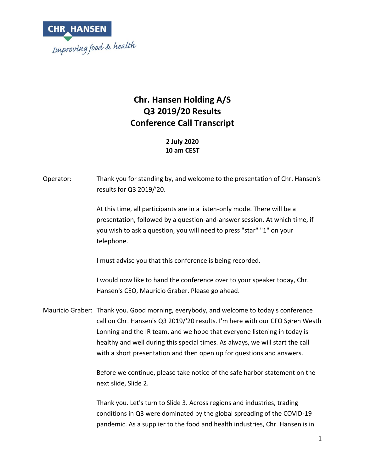

### **Chr. Hansen Holding A/S Q3 2019/20 Results Conference Call Transcript**

**2 July 2020 10 am CEST**

| Operator: | Thank you for standing by, and welcome to the presentation of Chr. Hansen's<br>results for Q3 2019/'20.                                                                                                                                                                                                                                                                                                      |
|-----------|--------------------------------------------------------------------------------------------------------------------------------------------------------------------------------------------------------------------------------------------------------------------------------------------------------------------------------------------------------------------------------------------------------------|
|           | At this time, all participants are in a listen-only mode. There will be a<br>presentation, followed by a question-and-answer session. At which time, if<br>you wish to ask a question, you will need to press "star" "1" on your<br>telephone.                                                                                                                                                               |
|           | I must advise you that this conference is being recorded.                                                                                                                                                                                                                                                                                                                                                    |
|           | I would now like to hand the conference over to your speaker today, Chr.<br>Hansen's CEO, Mauricio Graber. Please go ahead.                                                                                                                                                                                                                                                                                  |
|           | Mauricio Graber: Thank you. Good morning, everybody, and welcome to today's conference<br>call on Chr. Hansen's Q3 2019/'20 results. I'm here with our CFO Søren Westh<br>Lonning and the IR team, and we hope that everyone listening in today is<br>healthy and well during this special times. As always, we will start the call<br>with a short presentation and then open up for questions and answers. |
|           | Before we continue, please take notice of the safe harbor statement on the<br>next slide, Slide 2.                                                                                                                                                                                                                                                                                                           |
|           | Thank you. Let's turn to Slide 3. Across regions and industries, trading<br>conditions in Q3 were dominated by the global spreading of the COVID-19                                                                                                                                                                                                                                                          |

pandemic. As a supplier to the food and health industries, Chr. Hansen is in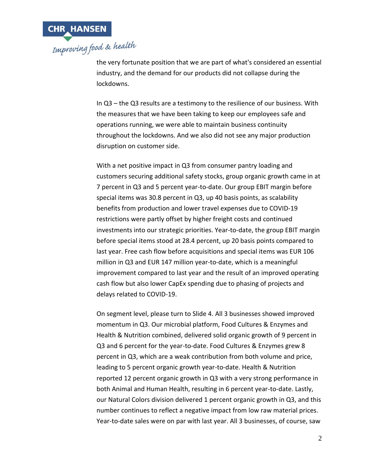

the very fortunate position that we are part of what's considered an essential industry, and the demand for our products did not collapse during the lockdowns.

In Q3 – the Q3 results are a testimony to the resilience of our business. With the measures that we have been taking to keep our employees safe and operations running, we were able to maintain business continuity throughout the lockdowns. And we also did not see any major production disruption on customer side.

With a net positive impact in Q3 from consumer pantry loading and customers securing additional safety stocks, group organic growth came in at 7 percent in Q3 and 5 percent year-to-date. Our group EBIT margin before special items was 30.8 percent in Q3, up 40 basis points, as scalability benefits from production and lower travel expenses due to COVID-19 restrictions were partly offset by higher freight costs and continued investments into our strategic priorities. Year-to-date, the group EBIT margin before special items stood at 28.4 percent, up 20 basis points compared to last year. Free cash flow before acquisitions and special items was EUR 106 million in Q3 and EUR 147 million year-to-date, which is a meaningful improvement compared to last year and the result of an improved operating cash flow but also lower CapEx spending due to phasing of projects and delays related to COVID-19.

On segment level, please turn to Slide 4. All 3 businesses showed improved momentum in Q3. Our microbial platform, Food Cultures & Enzymes and Health & Nutrition combined, delivered solid organic growth of 9 percent in Q3 and 6 percent for the year-to-date. Food Cultures & Enzymes grew 8 percent in Q3, which are a weak contribution from both volume and price, leading to 5 percent organic growth year-to-date. Health & Nutrition reported 12 percent organic growth in Q3 with a very strong performance in both Animal and Human Health, resulting in 6 percent year-to-date. Lastly, our Natural Colors division delivered 1 percent organic growth in Q3, and this number continues to reflect a negative impact from low raw material prices. Year-to-date sales were on par with last year. All 3 businesses, of course, saw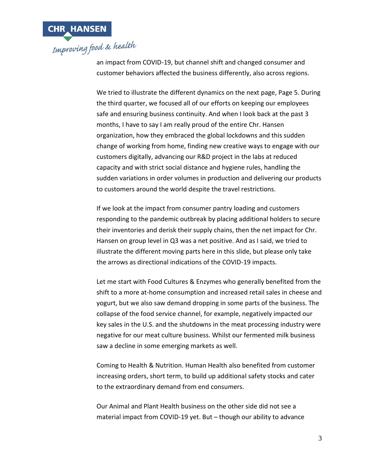

an impact from COVID-19, but channel shift and changed consumer and customer behaviors affected the business differently, also across regions.

We tried to illustrate the different dynamics on the next page, Page 5. During the third quarter, we focused all of our efforts on keeping our employees safe and ensuring business continuity. And when I look back at the past 3 months, I have to say I am really proud of the entire Chr. Hansen organization, how they embraced the global lockdowns and this sudden change of working from home, finding new creative ways to engage with our customers digitally, advancing our R&D project in the labs at reduced capacity and with strict social distance and hygiene rules, handling the sudden variations in order volumes in production and delivering our products to customers around the world despite the travel restrictions.

If we look at the impact from consumer pantry loading and customers responding to the pandemic outbreak by placing additional holders to secure their inventories and derisk their supply chains, then the net impact for Chr. Hansen on group level in Q3 was a net positive. And as I said, we tried to illustrate the different moving parts here in this slide, but please only take the arrows as directional indications of the COVID-19 impacts.

Let me start with Food Cultures & Enzymes who generally benefited from the shift to a more at-home consumption and increased retail sales in cheese and yogurt, but we also saw demand dropping in some parts of the business. The collapse of the food service channel, for example, negatively impacted our key sales in the U.S. and the shutdowns in the meat processing industry were negative for our meat culture business. Whilst our fermented milk business saw a decline in some emerging markets as well.

Coming to Health & Nutrition. Human Health also benefited from customer increasing orders, short term, to build up additional safety stocks and cater to the extraordinary demand from end consumers.

Our Animal and Plant Health business on the other side did not see a material impact from COVID-19 yet. But – though our ability to advance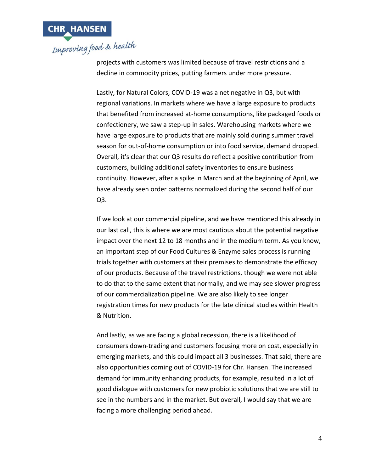

projects with customers was limited because of travel restrictions and a decline in commodity prices, putting farmers under more pressure.

Lastly, for Natural Colors, COVID-19 was a net negative in Q3, but with regional variations. In markets where we have a large exposure to products that benefited from increased at-home consumptions, like packaged foods or confectionery, we saw a step-up in sales. Warehousing markets where we have large exposure to products that are mainly sold during summer travel season for out-of-home consumption or into food service, demand dropped. Overall, it's clear that our Q3 results do reflect a positive contribution from customers, building additional safety inventories to ensure business continuity. However, after a spike in March and at the beginning of April, we have already seen order patterns normalized during the second half of our Q3.

If we look at our commercial pipeline, and we have mentioned this already in our last call, this is where we are most cautious about the potential negative impact over the next 12 to 18 months and in the medium term. As you know, an important step of our Food Cultures & Enzyme sales process is running trials together with customers at their premises to demonstrate the efficacy of our products. Because of the travel restrictions, though we were not able to do that to the same extent that normally, and we may see slower progress of our commercialization pipeline. We are also likely to see longer registration times for new products for the late clinical studies within Health & Nutrition.

And lastly, as we are facing a global recession, there is a likelihood of consumers down-trading and customers focusing more on cost, especially in emerging markets, and this could impact all 3 businesses. That said, there are also opportunities coming out of COVID-19 for Chr. Hansen. The increased demand for immunity enhancing products, for example, resulted in a lot of good dialogue with customers for new probiotic solutions that we are still to see in the numbers and in the market. But overall, I would say that we are facing a more challenging period ahead.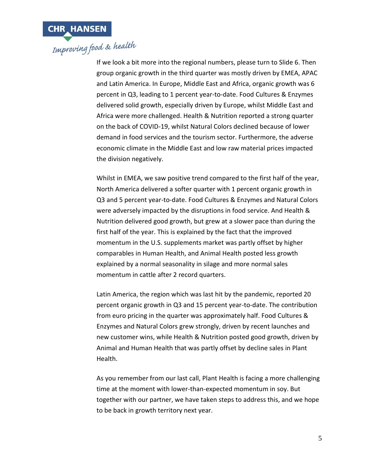

If we look a bit more into the regional numbers, please turn to Slide 6. Then group organic growth in the third quarter was mostly driven by EMEA, APAC and Latin America. In Europe, Middle East and Africa, organic growth was 6 percent in Q3, leading to 1 percent year-to-date. Food Cultures & Enzymes delivered solid growth, especially driven by Europe, whilst Middle East and Africa were more challenged. Health & Nutrition reported a strong quarter on the back of COVID-19, whilst Natural Colors declined because of lower demand in food services and the tourism sector. Furthermore, the adverse economic climate in the Middle East and low raw material prices impacted the division negatively.

Whilst in EMEA, we saw positive trend compared to the first half of the year, North America delivered a softer quarter with 1 percent organic growth in Q3 and 5 percent year-to-date. Food Cultures & Enzymes and Natural Colors were adversely impacted by the disruptions in food service. And Health & Nutrition delivered good growth, but grew at a slower pace than during the first half of the year. This is explained by the fact that the improved momentum in the U.S. supplements market was partly offset by higher comparables in Human Health, and Animal Health posted less growth explained by a normal seasonality in silage and more normal sales momentum in cattle after 2 record quarters.

Latin America, the region which was last hit by the pandemic, reported 20 percent organic growth in Q3 and 15 percent year-to-date. The contribution from euro pricing in the quarter was approximately half. Food Cultures & Enzymes and Natural Colors grew strongly, driven by recent launches and new customer wins, while Health & Nutrition posted good growth, driven by Animal and Human Health that was partly offset by decline sales in Plant Health.

As you remember from our last call, Plant Health is facing a more challenging time at the moment with lower-than-expected momentum in soy. But together with our partner, we have taken steps to address this, and we hope to be back in growth territory next year.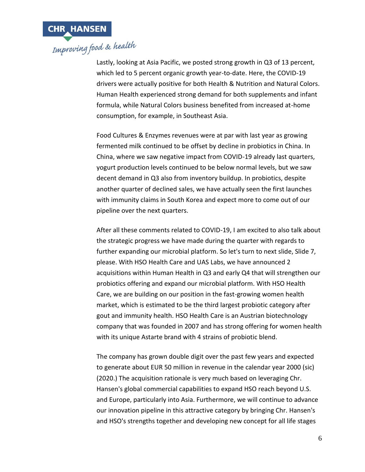

Lastly, looking at Asia Pacific, we posted strong growth in Q3 of 13 percent, which led to 5 percent organic growth year-to-date. Here, the COVID-19 drivers were actually positive for both Health & Nutrition and Natural Colors. Human Health experienced strong demand for both supplements and infant formula, while Natural Colors business benefited from increased at-home consumption, for example, in Southeast Asia.

Food Cultures & Enzymes revenues were at par with last year as growing fermented milk continued to be offset by decline in probiotics in China. In China, where we saw negative impact from COVID-19 already last quarters, yogurt production levels continued to be below normal levels, but we saw decent demand in Q3 also from inventory buildup. In probiotics, despite another quarter of declined sales, we have actually seen the first launches with immunity claims in South Korea and expect more to come out of our pipeline over the next quarters.

After all these comments related to COVID-19, I am excited to also talk about the strategic progress we have made during the quarter with regards to further expanding our microbial platform. So let's turn to next slide, Slide 7, please. With HSO Health Care and UAS Labs, we have announced 2 acquisitions within Human Health in Q3 and early Q4 that will strengthen our probiotics offering and expand our microbial platform. With HSO Health Care, we are building on our position in the fast-growing women health market, which is estimated to be the third largest probiotic category after gout and immunity health. HSO Health Care is an Austrian biotechnology company that was founded in 2007 and has strong offering for women health with its unique Astarte brand with 4 strains of probiotic blend.

The company has grown double digit over the past few years and expected to generate about EUR 50 million in revenue in the calendar year 2000 (sic) (2020.) The acquisition rationale is very much based on leveraging Chr. Hansen's global commercial capabilities to expand HSO reach beyond U.S. and Europe, particularly into Asia. Furthermore, we will continue to advance our innovation pipeline in this attractive category by bringing Chr. Hansen's and HSO's strengths together and developing new concept for all life stages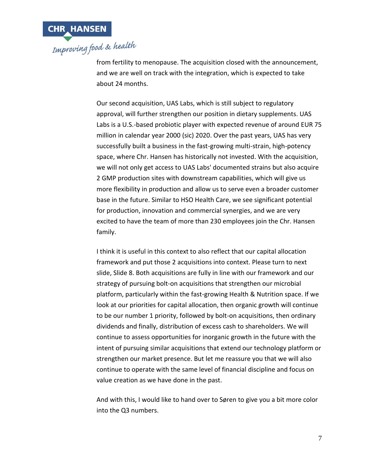

from fertility to menopause. The acquisition closed with the announcement, and we are well on track with the integration, which is expected to take about 24 months.

Our second acquisition, UAS Labs, which is still subject to regulatory approval, will further strengthen our position in dietary supplements. UAS Labs is a U.S.-based probiotic player with expected revenue of around EUR 75 million in calendar year 2000 (sic) 2020. Over the past years, UAS has very successfully built a business in the fast-growing multi-strain, high-potency space, where Chr. Hansen has historically not invested. With the acquisition, we will not only get access to UAS Labs' documented strains but also acquire 2 GMP production sites with downstream capabilities, which will give us more flexibility in production and allow us to serve even a broader customer base in the future. Similar to HSO Health Care, we see significant potential for production, innovation and commercial synergies, and we are very excited to have the team of more than 230 employees join the Chr. Hansen family.

I think it is useful in this context to also reflect that our capital allocation framework and put those 2 acquisitions into context. Please turn to next slide, Slide 8. Both acquisitions are fully in line with our framework and our strategy of pursuing bolt-on acquisitions that strengthen our microbial platform, particularly within the fast-growing Health & Nutrition space. If we look at our priorities for capital allocation, then organic growth will continue to be our number 1 priority, followed by bolt-on acquisitions, then ordinary dividends and finally, distribution of excess cash to shareholders. We will continue to assess opportunities for inorganic growth in the future with the intent of pursuing similar acquisitions that extend our technology platform or strengthen our market presence. But let me reassure you that we will also continue to operate with the same level of financial discipline and focus on value creation as we have done in the past.

And with this, I would like to hand over to Søren to give you a bit more color into the Q3 numbers.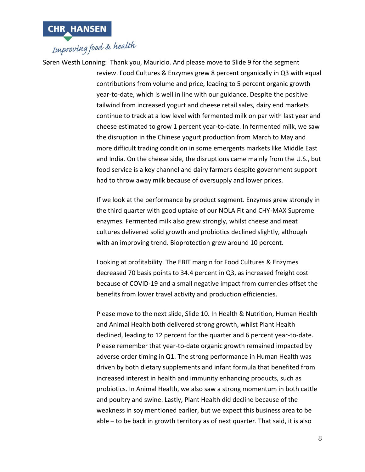

Søren Westh Lonning: Thank you, Mauricio. And please move to Slide 9 for the segment review. Food Cultures & Enzymes grew 8 percent organically in Q3 with equal contributions from volume and price, leading to 5 percent organic growth year-to-date, which is well in line with our guidance. Despite the positive tailwind from increased yogurt and cheese retail sales, dairy end markets continue to track at a low level with fermented milk on par with last year and cheese estimated to grow 1 percent year-to-date. In fermented milk, we saw the disruption in the Chinese yogurt production from March to May and more difficult trading condition in some emergents markets like Middle East and India. On the cheese side, the disruptions came mainly from the U.S., but food service is a key channel and dairy farmers despite government support had to throw away milk because of oversupply and lower prices.

> If we look at the performance by product segment. Enzymes grew strongly in the third quarter with good uptake of our NOLA Fit and CHY-MAX Supreme enzymes. Fermented milk also grew strongly, whilst cheese and meat cultures delivered solid growth and probiotics declined slightly, although with an improving trend. Bioprotection grew around 10 percent.

Looking at profitability. The EBIT margin for Food Cultures & Enzymes decreased 70 basis points to 34.4 percent in Q3, as increased freight cost because of COVID-19 and a small negative impact from currencies offset the benefits from lower travel activity and production efficiencies.

Please move to the next slide, Slide 10. In Health & Nutrition, Human Health and Animal Health both delivered strong growth, whilst Plant Health declined, leading to 12 percent for the quarter and 6 percent year-to-date. Please remember that year-to-date organic growth remained impacted by adverse order timing in Q1. The strong performance in Human Health was driven by both dietary supplements and infant formula that benefited from increased interest in health and immunity enhancing products, such as probiotics. In Animal Health, we also saw a strong momentum in both cattle and poultry and swine. Lastly, Plant Health did decline because of the weakness in soy mentioned earlier, but we expect this business area to be able – to be back in growth territory as of next quarter. That said, it is also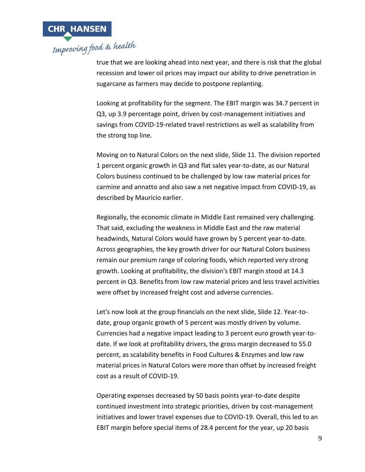

true that we are looking ahead into next year, and there is risk that the global recession and lower oil prices may impact our ability to drive penetration in sugarcane as farmers may decide to postpone replanting.

Looking at profitability for the segment. The EBIT margin was 34.7 percent in Q3, up 3.9 percentage point, driven by cost-management initiatives and savings from COVID-19-related travel restrictions as well as scalability from the strong top line.

Moving on to Natural Colors on the next slide, Slide 11. The division reported 1 percent organic growth in Q3 and flat sales year-to-date, as our Natural Colors business continued to be challenged by low raw material prices for carmine and annatto and also saw a net negative impact from COVID-19, as described by Mauricio earlier.

Regionally, the economic climate in Middle East remained very challenging. That said, excluding the weakness in Middle East and the raw material headwinds, Natural Colors would have grown by 5 percent year-to-date. Across geographies, the key growth driver for our Natural Colors business remain our premium range of coloring foods, which reported very strong growth. Looking at profitability, the division's EBIT margin stood at 14.3 percent in Q3. Benefits from low raw material prices and less travel activities were offset by increased freight cost and adverse currencies.

Let's now look at the group financials on the next slide, Slide 12. Year-todate, group organic growth of 5 percent was mostly driven by volume. Currencies had a negative impact leading to 3 percent euro growth year-todate. If we look at profitability drivers, the gross margin decreased to 55.0 percent, as scalability benefits in Food Cultures & Enzymes and low raw material prices in Natural Colors were more than offset by increased freight cost as a result of COVID-19.

Operating expenses decreased by 50 basis points year-to-date despite continued investment into strategic priorities, driven by cost-management initiatives and lower travel expenses due to COVID-19. Overall, this led to an EBIT margin before special items of 28.4 percent for the year, up 20 basis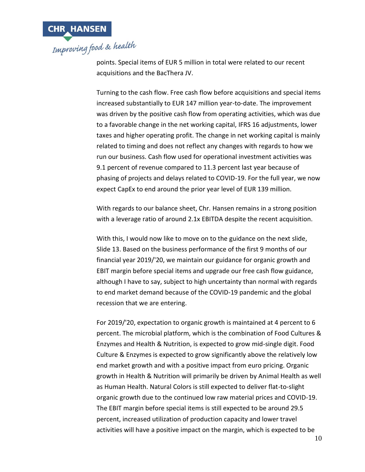

points. Special items of EUR 5 million in total were related to our recent acquisitions and the BacThera JV.

Turning to the cash flow. Free cash flow before acquisitions and special items increased substantially to EUR 147 million year-to-date. The improvement was driven by the positive cash flow from operating activities, which was due to a favorable change in the net working capital, IFRS 16 adjustments, lower taxes and higher operating profit. The change in net working capital is mainly related to timing and does not reflect any changes with regards to how we run our business. Cash flow used for operational investment activities was 9.1 percent of revenue compared to 11.3 percent last year because of phasing of projects and delays related to COVID-19. For the full year, we now expect CapEx to end around the prior year level of EUR 139 million.

With regards to our balance sheet, Chr. Hansen remains in a strong position with a leverage ratio of around 2.1x EBITDA despite the recent acquisition.

With this, I would now like to move on to the guidance on the next slide, Slide 13. Based on the business performance of the first 9 months of our financial year 2019/'20, we maintain our guidance for organic growth and EBIT margin before special items and upgrade our free cash flow guidance, although I have to say, subject to high uncertainty than normal with regards to end market demand because of the COVID-19 pandemic and the global recession that we are entering.

For 2019/'20, expectation to organic growth is maintained at 4 percent to 6 percent. The microbial platform, which is the combination of Food Cultures & Enzymes and Health & Nutrition, is expected to grow mid-single digit. Food Culture & Enzymes is expected to grow significantly above the relatively low end market growth and with a positive impact from euro pricing. Organic growth in Health & Nutrition will primarily be driven by Animal Health as well as Human Health. Natural Colors is still expected to deliver flat-to-slight organic growth due to the continued low raw material prices and COVID-19. The EBIT margin before special items is still expected to be around 29.5 percent, increased utilization of production capacity and lower travel activities will have a positive impact on the margin, which is expected to be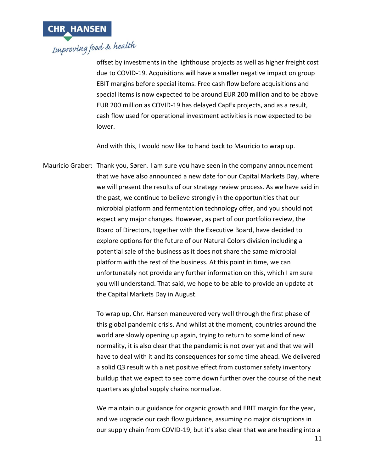

offset by investments in the lighthouse projects as well as higher freight cost due to COVID-19. Acquisitions will have a smaller negative impact on group EBIT margins before special items. Free cash flow before acquisitions and special items is now expected to be around EUR 200 million and to be above EUR 200 million as COVID-19 has delayed CapEx projects, and as a result, cash flow used for operational investment activities is now expected to be lower.

And with this, I would now like to hand back to Mauricio to wrap up.

Mauricio Graber: Thank you, Søren. I am sure you have seen in the company announcement that we have also announced a new date for our Capital Markets Day, where we will present the results of our strategy review process. As we have said in the past, we continue to believe strongly in the opportunities that our microbial platform and fermentation technology offer, and you should not expect any major changes. However, as part of our portfolio review, the Board of Directors, together with the Executive Board, have decided to explore options for the future of our Natural Colors division including a potential sale of the business as it does not share the same microbial platform with the rest of the business. At this point in time, we can unfortunately not provide any further information on this, which I am sure you will understand. That said, we hope to be able to provide an update at the Capital Markets Day in August.

> To wrap up, Chr. Hansen maneuvered very well through the first phase of this global pandemic crisis. And whilst at the moment, countries around the world are slowly opening up again, trying to return to some kind of new normality, it is also clear that the pandemic is not over yet and that we will have to deal with it and its consequences for some time ahead. We delivered a solid Q3 result with a net positive effect from customer safety inventory buildup that we expect to see come down further over the course of the next quarters as global supply chains normalize.

> We maintain our guidance for organic growth and EBIT margin for the year, and we upgrade our cash flow guidance, assuming no major disruptions in our supply chain from COVID-19, but it's also clear that we are heading into a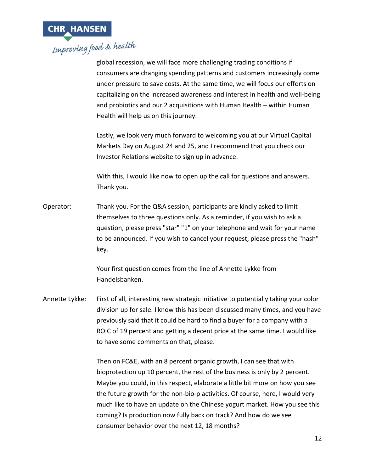

global recession, we will face more challenging trading conditions if consumers are changing spending patterns and customers increasingly come under pressure to save costs. At the same time, we will focus our efforts on capitalizing on the increased awareness and interest in health and well-being and probiotics and our 2 acquisitions with Human Health – within Human Health will help us on this journey.

Lastly, we look very much forward to welcoming you at our Virtual Capital Markets Day on August 24 and 25, and I recommend that you check our Investor Relations website to sign up in advance.

With this, I would like now to open up the call for questions and answers. Thank you.

Operator: Thank you. For the Q&A session, participants are kindly asked to limit themselves to three questions only. As a reminder, if you wish to ask a question, please press "star" "1" on your telephone and wait for your name to be announced. If you wish to cancel your request, please press the "hash" key.

> Your first question comes from the line of Annette Lykke from Handelsbanken.

Annette Lykke: First of all, interesting new strategic initiative to potentially taking your color division up for sale. I know this has been discussed many times, and you have previously said that it could be hard to find a buyer for a company with a ROIC of 19 percent and getting a decent price at the same time. I would like to have some comments on that, please.

> Then on FC&E, with an 8 percent organic growth, I can see that with bioprotection up 10 percent, the rest of the business is only by 2 percent. Maybe you could, in this respect, elaborate a little bit more on how you see the future growth for the non-bio-p activities. Of course, here, I would very much like to have an update on the Chinese yogurt market. How you see this coming? Is production now fully back on track? And how do we see consumer behavior over the next 12, 18 months?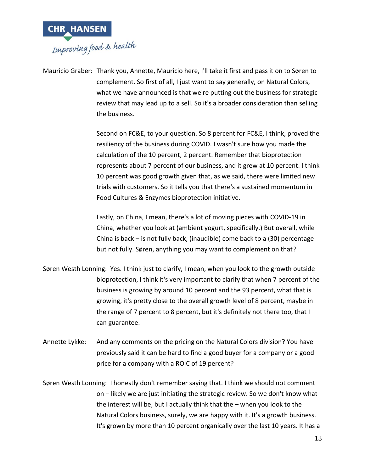

Mauricio Graber: Thank you, Annette, Mauricio here, I'll take it first and pass it on to Søren to complement. So first of all, I just want to say generally, on Natural Colors, what we have announced is that we're putting out the business for strategic review that may lead up to a sell. So it's a broader consideration than selling the business.

> Second on FC&E, to your question. So 8 percent for FC&E, I think, proved the resiliency of the business during COVID. I wasn't sure how you made the calculation of the 10 percent, 2 percent. Remember that bioprotection represents about 7 percent of our business, and it grew at 10 percent. I think 10 percent was good growth given that, as we said, there were limited new trials with customers. So it tells you that there's a sustained momentum in Food Cultures & Enzymes bioprotection initiative.

Lastly, on China, I mean, there's a lot of moving pieces with COVID-19 in China, whether you look at (ambient yogurt, specifically.) But overall, while China is back – is not fully back, (inaudible) come back to a (30) percentage but not fully. Søren, anything you may want to complement on that?

- Søren Westh Lonning: Yes. I think just to clarify, I mean, when you look to the growth outside bioprotection, I think it's very important to clarify that when 7 percent of the business is growing by around 10 percent and the 93 percent, what that is growing, it's pretty close to the overall growth level of 8 percent, maybe in the range of 7 percent to 8 percent, but it's definitely not there too, that I can guarantee.
- Annette Lykke: And any comments on the pricing on the Natural Colors division? You have previously said it can be hard to find a good buyer for a company or a good price for a company with a ROIC of 19 percent?
- Søren Westh Lonning: I honestly don't remember saying that. I think we should not comment on – likely we are just initiating the strategic review. So we don't know what the interest will be, but I actually think that the – when you look to the Natural Colors business, surely, we are happy with it. It's a growth business. It's grown by more than 10 percent organically over the last 10 years. It has a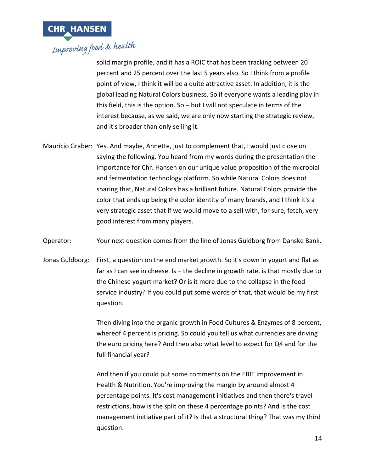

solid margin profile, and it has a ROIC that has been tracking between 20 percent and 25 percent over the last 5 years also. So I think from a profile point of view, I think it will be a quite attractive asset. In addition, it is the global leading Natural Colors business. So if everyone wants a leading play in this field, this is the option. So – but I will not speculate in terms of the interest because, as we said, we are only now starting the strategic review, and it's broader than only selling it.

Mauricio Graber: Yes. And maybe, Annette, just to complement that, I would just close on saying the following. You heard from my words during the presentation the importance for Chr. Hansen on our unique value proposition of the microbial and fermentation technology platform. So while Natural Colors does not sharing that, Natural Colors has a brilliant future. Natural Colors provide the color that ends up being the color identity of many brands, and I think it's a very strategic asset that if we would move to a sell with, for sure, fetch, very good interest from many players.

Operator: Your next question comes from the line of Jonas Guldborg from Danske Bank.

Jonas Guldborg: First, a question on the end market growth. So it's down in yogurt and flat as far as I can see in cheese. Is – the decline in growth rate, is that mostly due to the Chinese yogurt market? Or is it more due to the collapse in the food service industry? If you could put some words of that, that would be my first question.

> Then diving into the organic growth in Food Cultures & Enzymes of 8 percent, whereof 4 percent is pricing. So could you tell us what currencies are driving the euro pricing here? And then also what level to expect for Q4 and for the full financial year?

> And then if you could put some comments on the EBIT improvement in Health & Nutrition. You're improving the margin by around almost 4 percentage points. It's cost management initiatives and then there's travel restrictions, how is the split on these 4 percentage points? And is the cost management initiative part of it? Is that a structural thing? That was my third question.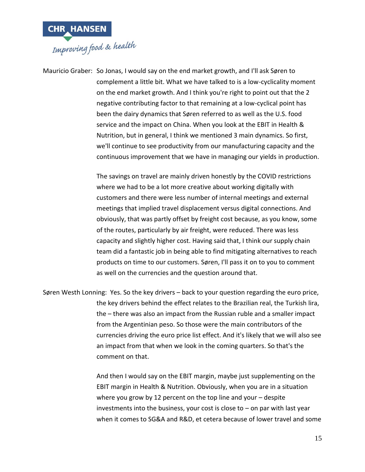

Mauricio Graber: So Jonas, I would say on the end market growth, and I'll ask Søren to complement a little bit. What we have talked to is a low-cyclicality moment on the end market growth. And I think you're right to point out that the 2 negative contributing factor to that remaining at a low-cyclical point has been the dairy dynamics that Søren referred to as well as the U.S. food service and the impact on China. When you look at the EBIT in Health & Nutrition, but in general, I think we mentioned 3 main dynamics. So first, we'll continue to see productivity from our manufacturing capacity and the continuous improvement that we have in managing our yields in production.

> The savings on travel are mainly driven honestly by the COVID restrictions where we had to be a lot more creative about working digitally with customers and there were less number of internal meetings and external meetings that implied travel displacement versus digital connections. And obviously, that was partly offset by freight cost because, as you know, some of the routes, particularly by air freight, were reduced. There was less capacity and slightly higher cost. Having said that, I think our supply chain team did a fantastic job in being able to find mitigating alternatives to reach products on time to our customers. Søren, I'll pass it on to you to comment as well on the currencies and the question around that.

Søren Westh Lonning: Yes. So the key drivers – back to your question regarding the euro price, the key drivers behind the effect relates to the Brazilian real, the Turkish lira, the – there was also an impact from the Russian ruble and a smaller impact from the Argentinian peso. So those were the main contributors of the currencies driving the euro price list effect. And it's likely that we will also see an impact from that when we look in the coming quarters. So that's the comment on that.

> And then I would say on the EBIT margin, maybe just supplementing on the EBIT margin in Health & Nutrition. Obviously, when you are in a situation where you grow by 12 percent on the top line and your – despite investments into the business, your cost is close to  $-$  on par with last year when it comes to SG&A and R&D, et cetera because of lower travel and some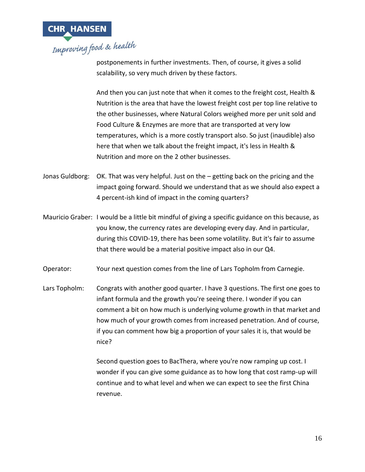

postponements in further investments. Then, of course, it gives a solid scalability, so very much driven by these factors.

And then you can just note that when it comes to the freight cost, Health & Nutrition is the area that have the lowest freight cost per top line relative to the other businesses, where Natural Colors weighed more per unit sold and Food Culture & Enzymes are more that are transported at very low temperatures, which is a more costly transport also. So just (inaudible) also here that when we talk about the freight impact, it's less in Health & Nutrition and more on the 2 other businesses.

- Jonas Guldborg: OK. That was very helpful. Just on the getting back on the pricing and the impact going forward. Should we understand that as we should also expect a 4 percent-ish kind of impact in the coming quarters?
- Mauricio Graber: I would be a little bit mindful of giving a specific guidance on this because, as you know, the currency rates are developing every day. And in particular, during this COVID-19, there has been some volatility. But it's fair to assume that there would be a material positive impact also in our Q4.
- Operator: Your next question comes from the line of Lars Topholm from Carnegie.
- Lars Topholm: Congrats with another good quarter. I have 3 questions. The first one goes to infant formula and the growth you're seeing there. I wonder if you can comment a bit on how much is underlying volume growth in that market and how much of your growth comes from increased penetration. And of course, if you can comment how big a proportion of your sales it is, that would be nice?

Second question goes to BacThera, where you're now ramping up cost. I wonder if you can give some guidance as to how long that cost ramp-up will continue and to what level and when we can expect to see the first China revenue.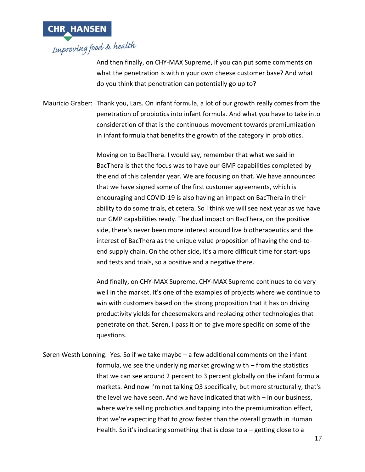

And then finally, on CHY-MAX Supreme, if you can put some comments on what the penetration is within your own cheese customer base? And what do you think that penetration can potentially go up to?

Mauricio Graber: Thank you, Lars. On infant formula, a lot of our growth really comes from the penetration of probiotics into infant formula. And what you have to take into consideration of that is the continuous movement towards premiumization in infant formula that benefits the growth of the category in probiotics.

> Moving on to BacThera. I would say, remember that what we said in BacThera is that the focus was to have our GMP capabilities completed by the end of this calendar year. We are focusing on that. We have announced that we have signed some of the first customer agreements, which is encouraging and COVID-19 is also having an impact on BacThera in their ability to do some trials, et cetera. So I think we will see next year as we have our GMP capabilities ready. The dual impact on BacThera, on the positive side, there's never been more interest around live biotherapeutics and the interest of BacThera as the unique value proposition of having the end-toend supply chain. On the other side, it's a more difficult time for start-ups and tests and trials, so a positive and a negative there.

> And finally, on CHY-MAX Supreme. CHY-MAX Supreme continues to do very well in the market. It's one of the examples of projects where we continue to win with customers based on the strong proposition that it has on driving productivity yields for cheesemakers and replacing other technologies that penetrate on that. Søren, I pass it on to give more specific on some of the questions.

Søren Westh Lonning: Yes. So if we take maybe – a few additional comments on the infant formula, we see the underlying market growing with – from the statistics that we can see around 2 percent to 3 percent globally on the infant formula markets. And now I'm not talking Q3 specifically, but more structurally, that's the level we have seen. And we have indicated that with – in our business, where we're selling probiotics and tapping into the premiumization effect, that we're expecting that to grow faster than the overall growth in Human Health. So it's indicating something that is close to a  $-$  getting close to a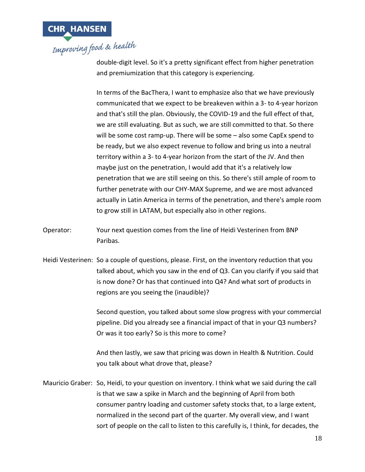

double-digit level. So it's a pretty significant effect from higher penetration and premiumization that this category is experiencing.

In terms of the BacThera, I want to emphasize also that we have previously communicated that we expect to be breakeven within a 3- to 4-year horizon and that's still the plan. Obviously, the COVID-19 and the full effect of that, we are still evaluating. But as such, we are still committed to that. So there will be some cost ramp-up. There will be some – also some CapEx spend to be ready, but we also expect revenue to follow and bring us into a neutral territory within a 3- to 4-year horizon from the start of the JV. And then maybe just on the penetration, I would add that it's a relatively low penetration that we are still seeing on this. So there's still ample of room to further penetrate with our CHY-MAX Supreme, and we are most advanced actually in Latin America in terms of the penetration, and there's ample room to grow still in LATAM, but especially also in other regions.

- Operator: Your next question comes from the line of Heidi Vesterinen from BNP Paribas.
- Heidi Vesterinen: So a couple of questions, please. First, on the inventory reduction that you talked about, which you saw in the end of Q3. Can you clarify if you said that is now done? Or has that continued into Q4? And what sort of products in regions are you seeing the (inaudible)?

Second question, you talked about some slow progress with your commercial pipeline. Did you already see a financial impact of that in your Q3 numbers? Or was it too early? So is this more to come?

And then lastly, we saw that pricing was down in Health & Nutrition. Could you talk about what drove that, please?

Mauricio Graber: So, Heidi, to your question on inventory. I think what we said during the call is that we saw a spike in March and the beginning of April from both consumer pantry loading and customer safety stocks that, to a large extent, normalized in the second part of the quarter. My overall view, and I want sort of people on the call to listen to this carefully is, I think, for decades, the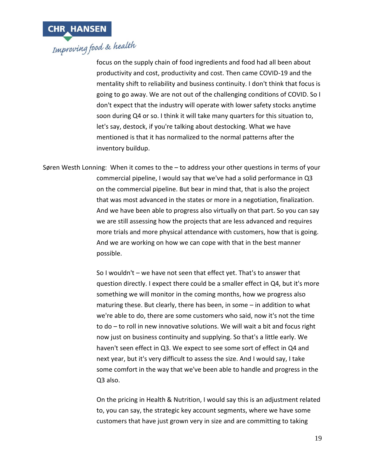

focus on the supply chain of food ingredients and food had all been about productivity and cost, productivity and cost. Then came COVID-19 and the mentality shift to reliability and business continuity. I don't think that focus is going to go away. We are not out of the challenging conditions of COVID. So I don't expect that the industry will operate with lower safety stocks anytime soon during Q4 or so. I think it will take many quarters for this situation to, let's say, destock, if you're talking about destocking. What we have mentioned is that it has normalized to the normal patterns after the inventory buildup.

Søren Westh Lonning: When it comes to the – to address your other questions in terms of your commercial pipeline, I would say that we've had a solid performance in Q3 on the commercial pipeline. But bear in mind that, that is also the project that was most advanced in the states or more in a negotiation, finalization. And we have been able to progress also virtually on that part. So you can say we are still assessing how the projects that are less advanced and requires more trials and more physical attendance with customers, how that is going. And we are working on how we can cope with that in the best manner possible.

> So I wouldn't – we have not seen that effect yet. That's to answer that question directly. I expect there could be a smaller effect in Q4, but it's more something we will monitor in the coming months, how we progress also maturing these. But clearly, there has been, in some – in addition to what we're able to do, there are some customers who said, now it's not the time to do – to roll in new innovative solutions. We will wait a bit and focus right now just on business continuity and supplying. So that's a little early. We haven't seen effect in Q3. We expect to see some sort of effect in Q4 and next year, but it's very difficult to assess the size. And I would say, I take some comfort in the way that we've been able to handle and progress in the Q3 also.

> On the pricing in Health & Nutrition, I would say this is an adjustment related to, you can say, the strategic key account segments, where we have some customers that have just grown very in size and are committing to taking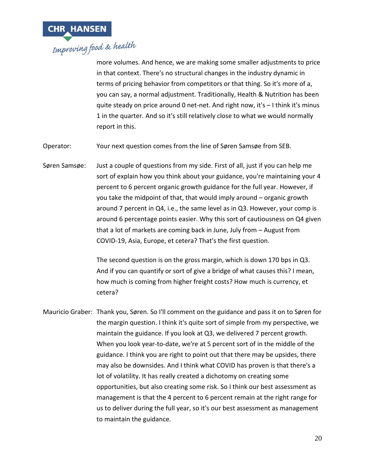

more volumes. And hence, we are making some smaller adjustments to price in that context. There's no structural changes in the industry dynamic in terms of pricing behavior from competitors or that thing. So it's more of a, you can say, a normal adjustment. Traditionally, Health & Nutrition has been quite steady on price around 0 net-net. And right now, it's – I think it's minus 1 in the quarter. And so it's still relatively close to what we would normally report in this.

Operator: Your next question comes from the line of Søren Samsøe from SEB.

Søren Samsøe: Just a couple of questions from my side. First of all, just if you can help me sort of explain how you think about your guidance, you're maintaining your 4 percent to 6 percent organic growth guidance for the full year. However, if you take the midpoint of that, that would imply around – organic growth around 7 percent in Q4, i.e., the same level as in Q3. However, your comp is around 6 percentage points easier. Why this sort of cautiousness on Q4 given that a lot of markets are coming back in June, July from – August from COVID-19, Asia, Europe, et cetera? That's the first question.

> The second question is on the gross margin, which is down 170 bps in Q3. And if you can quantify or sort of give a bridge of what causes this? I mean, how much is coming from higher freight costs? How much is currency, et cetera?

Mauricio Graber: Thank you, Søren. So I'll comment on the guidance and pass it on to Søren for the margin question. I think it's quite sort of simple from my perspective, we maintain the guidance. If you look at Q3, we delivered 7 percent growth. When you look year-to-date, we're at 5 percent sort of in the middle of the guidance. I think you are right to point out that there may be upsides, there may also be downsides. And I think what COVID has proven is that there's a lot of volatility. It has really created a dichotomy on creating some opportunities, but also creating some risk. So I think our best assessment as management is that the 4 percent to 6 percent remain at the right range for us to deliver during the full year, so it's our best assessment as management to maintain the guidance.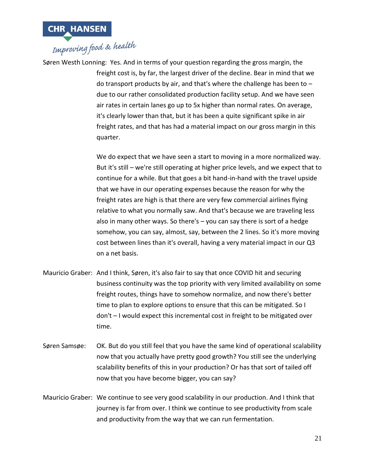

Søren Westh Lonning: Yes. And in terms of your question regarding the gross margin, the freight cost is, by far, the largest driver of the decline. Bear in mind that we do transport products by air, and that's where the challenge has been to – due to our rather consolidated production facility setup. And we have seen air rates in certain lanes go up to 5x higher than normal rates. On average, it's clearly lower than that, but it has been a quite significant spike in air freight rates, and that has had a material impact on our gross margin in this quarter.

> We do expect that we have seen a start to moving in a more normalized way. But it's still – we're still operating at higher price levels, and we expect that to continue for a while. But that goes a bit hand-in-hand with the travel upside that we have in our operating expenses because the reason for why the freight rates are high is that there are very few commercial airlines flying relative to what you normally saw. And that's because we are traveling less also in many other ways. So there's – you can say there is sort of a hedge somehow, you can say, almost, say, between the 2 lines. So it's more moving cost between lines than it's overall, having a very material impact in our Q3 on a net basis.

- Mauricio Graber: And I think, Søren, it's also fair to say that once COVID hit and securing business continuity was the top priority with very limited availability on some freight routes, things have to somehow normalize, and now there's better time to plan to explore options to ensure that this can be mitigated. So I don't – I would expect this incremental cost in freight to be mitigated over time.
- Søren Samsøe: OK. But do you still feel that you have the same kind of operational scalability now that you actually have pretty good growth? You still see the underlying scalability benefits of this in your production? Or has that sort of tailed off now that you have become bigger, you can say?
- Mauricio Graber: We continue to see very good scalability in our production. And I think that journey is far from over. I think we continue to see productivity from scale and productivity from the way that we can run fermentation.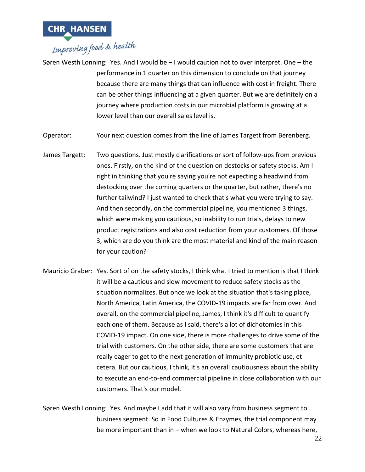

Søren Westh Lonning: Yes. And I would be – I would caution not to over interpret. One – the performance in 1 quarter on this dimension to conclude on that journey because there are many things that can influence with cost in freight. There can be other things influencing at a given quarter. But we are definitely on a journey where production costs in our microbial platform is growing at a lower level than our overall sales level is.

Operator: Your next question comes from the line of James Targett from Berenberg.

- James Targett: Two questions. Just mostly clarifications or sort of follow-ups from previous ones. Firstly, on the kind of the question on destocks or safety stocks. Am I right in thinking that you're saying you're not expecting a headwind from destocking over the coming quarters or the quarter, but rather, there's no further tailwind? I just wanted to check that's what you were trying to say. And then secondly, on the commercial pipeline, you mentioned 3 things, which were making you cautious, so inability to run trials, delays to new product registrations and also cost reduction from your customers. Of those 3, which are do you think are the most material and kind of the main reason for your caution?
- Mauricio Graber: Yes. Sort of on the safety stocks, I think what I tried to mention is that I think it will be a cautious and slow movement to reduce safety stocks as the situation normalizes. But once we look at the situation that's taking place, North America, Latin America, the COVID-19 impacts are far from over. And overall, on the commercial pipeline, James, I think it's difficult to quantify each one of them. Because as I said, there's a lot of dichotomies in this COVID-19 impact. On one side, there is more challenges to drive some of the trial with customers. On the other side, there are some customers that are really eager to get to the next generation of immunity probiotic use, et cetera. But our cautious, I think, it's an overall cautiousness about the ability to execute an end-to-end commercial pipeline in close collaboration with our customers. That's our model.
- Søren Westh Lonning: Yes. And maybe I add that it will also vary from business segment to business segment. So in Food Cultures & Enzymes, the trial component may be more important than in – when we look to Natural Colors, whereas here,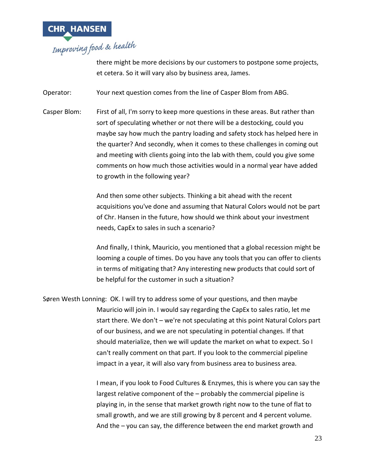

there might be more decisions by our customers to postpone some projects, et cetera. So it will vary also by business area, James.

Operator: Your next question comes from the line of Casper Blom from ABG.

Casper Blom: First of all, I'm sorry to keep more questions in these areas. But rather than sort of speculating whether or not there will be a destocking, could you maybe say how much the pantry loading and safety stock has helped here in the quarter? And secondly, when it comes to these challenges in coming out and meeting with clients going into the lab with them, could you give some comments on how much those activities would in a normal year have added to growth in the following year?

> And then some other subjects. Thinking a bit ahead with the recent acquisitions you've done and assuming that Natural Colors would not be part of Chr. Hansen in the future, how should we think about your investment needs, CapEx to sales in such a scenario?

> And finally, I think, Mauricio, you mentioned that a global recession might be looming a couple of times. Do you have any tools that you can offer to clients in terms of mitigating that? Any interesting new products that could sort of be helpful for the customer in such a situation?

Søren Westh Lonning: OK. I will try to address some of your questions, and then maybe Mauricio will join in. I would say regarding the CapEx to sales ratio, let me start there. We don't – we're not speculating at this point Natural Colors part of our business, and we are not speculating in potential changes. If that should materialize, then we will update the market on what to expect. So I can't really comment on that part. If you look to the commercial pipeline impact in a year, it will also vary from business area to business area.

> I mean, if you look to Food Cultures & Enzymes, this is where you can say the largest relative component of the – probably the commercial pipeline is playing in, in the sense that market growth right now to the tune of flat to small growth, and we are still growing by 8 percent and 4 percent volume. And the – you can say, the difference between the end market growth and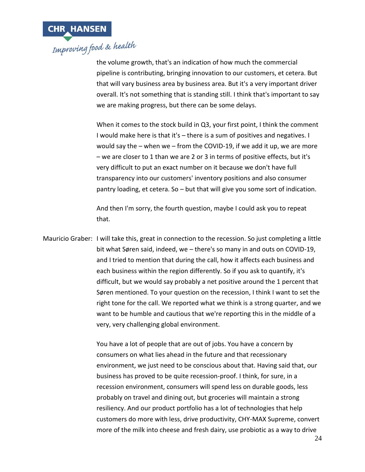

the volume growth, that's an indication of how much the commercial pipeline is contributing, bringing innovation to our customers, et cetera. But that will vary business area by business area. But it's a very important driver overall. It's not something that is standing still. I think that's important to say we are making progress, but there can be some delays.

When it comes to the stock build in Q3, your first point, I think the comment I would make here is that it's – there is a sum of positives and negatives. I would say the – when we – from the COVID-19, if we add it up, we are more – we are closer to 1 than we are 2 or 3 in terms of positive effects, but it's very difficult to put an exact number on it because we don't have full transparency into our customers' inventory positions and also consumer pantry loading, et cetera. So – but that will give you some sort of indication.

And then I'm sorry, the fourth question, maybe I could ask you to repeat that.

Mauricio Graber: I will take this, great in connection to the recession. So just completing a little bit what Søren said, indeed, we – there's so many in and outs on COVID-19, and I tried to mention that during the call, how it affects each business and each business within the region differently. So if you ask to quantify, it's difficult, but we would say probably a net positive around the 1 percent that Søren mentioned. To your question on the recession, I think I want to set the right tone for the call. We reported what we think is a strong quarter, and we want to be humble and cautious that we're reporting this in the middle of a very, very challenging global environment.

> You have a lot of people that are out of jobs. You have a concern by consumers on what lies ahead in the future and that recessionary environment, we just need to be conscious about that. Having said that, our business has proved to be quite recession-proof. I think, for sure, in a recession environment, consumers will spend less on durable goods, less probably on travel and dining out, but groceries will maintain a strong resiliency. And our product portfolio has a lot of technologies that help customers do more with less, drive productivity, CHY-MAX Supreme, convert more of the milk into cheese and fresh dairy, use probiotic as a way to drive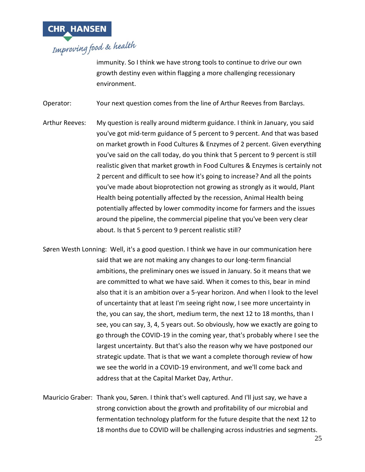

immunity. So I think we have strong tools to continue to drive our own growth destiny even within flagging a more challenging recessionary environment.

Operator: Your next question comes from the line of Arthur Reeves from Barclays.

- Arthur Reeves: My question is really around midterm guidance. I think in January, you said you've got mid-term guidance of 5 percent to 9 percent. And that was based on market growth in Food Cultures & Enzymes of 2 percent. Given everything you've said on the call today, do you think that 5 percent to 9 percent is still realistic given that market growth in Food Cultures & Enzymes is certainly not 2 percent and difficult to see how it's going to increase? And all the points you've made about bioprotection not growing as strongly as it would, Plant Health being potentially affected by the recession, Animal Health being potentially affected by lower commodity income for farmers and the issues around the pipeline, the commercial pipeline that you've been very clear about. Is that 5 percent to 9 percent realistic still?
- Søren Westh Lonning: Well, it's a good question. I think we have in our communication here said that we are not making any changes to our long-term financial ambitions, the preliminary ones we issued in January. So it means that we are committed to what we have said. When it comes to this, bear in mind also that it is an ambition over a 5-year horizon. And when I look to the level of uncertainty that at least I'm seeing right now, I see more uncertainty in the, you can say, the short, medium term, the next 12 to 18 months, than I see, you can say, 3, 4, 5 years out. So obviously, how we exactly are going to go through the COVID-19 in the coming year, that's probably where I see the largest uncertainty. But that's also the reason why we have postponed our strategic update. That is that we want a complete thorough review of how we see the world in a COVID-19 environment, and we'll come back and address that at the Capital Market Day, Arthur.
- Mauricio Graber: Thank you, Søren. I think that's well captured. And I'll just say, we have a strong conviction about the growth and profitability of our microbial and fermentation technology platform for the future despite that the next 12 to 18 months due to COVID will be challenging across industries and segments.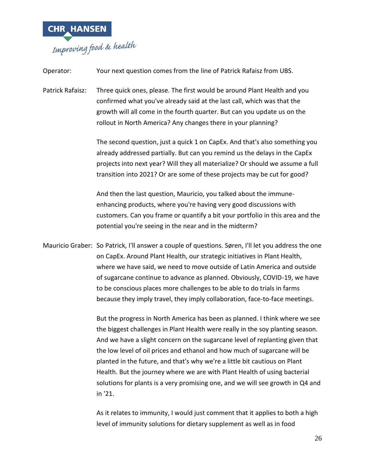

in '21.

| Operator:        | Your next question comes from the line of Patrick Rafaisz from UBS.                                                                                                                                                                                                                                                                                                                                                                                                                                 |
|------------------|-----------------------------------------------------------------------------------------------------------------------------------------------------------------------------------------------------------------------------------------------------------------------------------------------------------------------------------------------------------------------------------------------------------------------------------------------------------------------------------------------------|
| Patrick Rafaisz: | Three quick ones, please. The first would be around Plant Health and you<br>confirmed what you've already said at the last call, which was that the<br>growth will all come in the fourth quarter. But can you update us on the<br>rollout in North America? Any changes there in your planning?                                                                                                                                                                                                    |
|                  | The second question, just a quick 1 on CapEx. And that's also something you<br>already addressed partially. But can you remind us the delays in the CapEx<br>projects into next year? Will they all materialize? Or should we assume a full<br>transition into 2021? Or are some of these projects may be cut for good?                                                                                                                                                                             |
|                  | And then the last question, Mauricio, you talked about the immune-<br>enhancing products, where you're having very good discussions with<br>customers. Can you frame or quantify a bit your portfolio in this area and the<br>potential you're seeing in the near and in the midterm?                                                                                                                                                                                                               |
|                  | Mauricio Graber: So Patrick, I'll answer a couple of questions. Søren, I'll let you address the one<br>on CapEx. Around Plant Health, our strategic initiatives in Plant Health,<br>where we have said, we need to move outside of Latin America and outside<br>of sugarcane continue to advance as planned. Obviously, COVID-19, we have<br>to be conscious places more challenges to be able to do trials in farms<br>because they imply travel, they imply collaboration, face-to-face meetings. |
|                  | But the progress in North America has been as planned. I think where we see<br>the biggest challenges in Plant Health were really in the soy planting season.<br>And we have a slight concern on the sugarcane level of replanting given that<br>the low level of oil prices and ethanol and how much of sugarcane will be<br>planted in the future, and that's why we're a little bit cautious on Plant<br>Health. But the journey where we are with Plant Health of using bacterial               |

As it relates to immunity, I would just comment that it applies to both a high level of immunity solutions for dietary supplement as well as in food

solutions for plants is a very promising one, and we will see growth in Q4 and